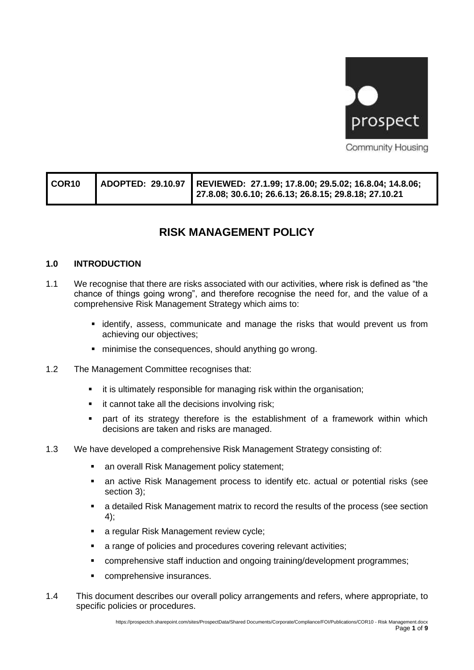

| COR <sub>10</sub> | ADOPTED: 29.10.97   REVIEWED: 27.1.99; 17.8.00; 29.5.02; 16.8.04; 14.8.06;<br>27.8.08; 30.6.10; 26.6.13; 26.8.15; 29.8.18; 27.10.21 |
|-------------------|-------------------------------------------------------------------------------------------------------------------------------------|
|-------------------|-------------------------------------------------------------------------------------------------------------------------------------|

# **RISK MANAGEMENT POLICY**

# **1.0 INTRODUCTION**

- 1.1 We recognise that there are risks associated with our activities, where risk is defined as "the chance of things going wrong", and therefore recognise the need for, and the value of a comprehensive Risk Management Strategy which aims to:
	- **.** identify, assess, communicate and manage the risks that would prevent us from achieving our objectives;
	- minimise the consequences, should anything go wrong.
- 1.2 The Management Committee recognises that:
	- it is ultimately responsible for managing risk within the organisation;
	- it cannot take all the decisions involving risk;
	- **•** part of its strategy therefore is the establishment of a framework within which decisions are taken and risks are managed.
- 1.3 We have developed a comprehensive Risk Management Strategy consisting of:
	- an overall Risk Management policy statement;
	- **EXEDENT** an active Risk Management process to identify etc. actual or potential risks (see section 3);
	- a detailed Risk Management matrix to record the results of the process (see section 4);
	- a regular Risk Management review cycle;
	- a range of policies and procedures covering relevant activities;
	- comprehensive staff induction and ongoing training/development programmes;
	- comprehensive insurances.
- 1.4 This document describes our overall policy arrangements and refers, where appropriate, to specific policies or procedures.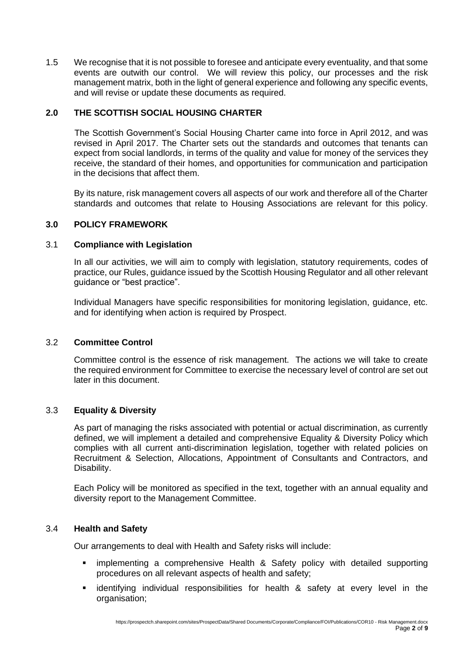1.5 We recognise that it is not possible to foresee and anticipate every eventuality, and that some events are outwith our control. We will review this policy, our processes and the risk management matrix, both in the light of general experience and following any specific events, and will revise or update these documents as required.

# **2.0 THE SCOTTISH SOCIAL HOUSING CHARTER**

The Scottish [Government's](http://housingcharter.scotland.gov.uk/) Social Housing Charter came into force in April 2012, and was revised in April 2017. The Charter sets out the standards and outcomes that tenants can expect from social landlords, in terms of the quality and value for money of the services they receive, the standard of their homes, and opportunities for communication and participation in the decisions that affect them.

By its nature, risk management covers all aspects of our work and therefore all of the Charter standards and outcomes that relate to Housing Associations are relevant for this policy.

# **3.0 POLICY FRAMEWORK**

#### 3.1 **Compliance with Legislation**

In all our activities, we will aim to comply with legislation, statutory requirements, codes of practice, our Rules, guidance issued by the Scottish Housing Regulator and all other relevant guidance or "best practice".

Individual Managers have specific responsibilities for monitoring legislation, guidance, etc. and for identifying when action is required by Prospect.

# 3.2 **Committee Control**

Committee control is the essence of risk management. The actions we will take to create the required environment for Committee to exercise the necessary level of control are set out later in this document.

# 3.3 **Equality & Diversity**

As part of managing the risks associated with potential or actual discrimination, as currently defined, we will implement a detailed and comprehensive Equality & Diversity Policy which complies with all current anti-discrimination legislation, together with related policies on Recruitment & Selection, Allocations, Appointment of Consultants and Contractors, and Disability.

Each Policy will be monitored as specified in the text, together with an annual equality and diversity report to the Management Committee.

#### 3.4 **Health and Safety**

Our arrangements to deal with Health and Safety risks will include:

- implementing a comprehensive Health & Safety policy with detailed supporting procedures on all relevant aspects of health and safety;
- **Exercifying individual responsibilities for health & safety at every level in the** organisation;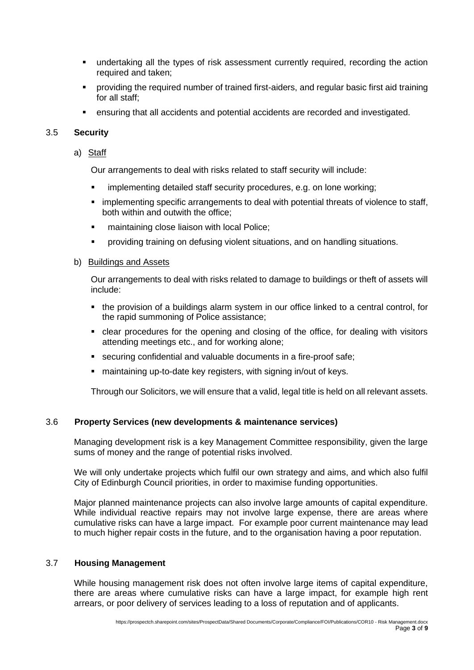- **•** undertaking all the types of risk assessment currently required, recording the action required and taken;
- providing the required number of trained first-aiders, and regular basic first aid training for all staff;
- ensuring that all accidents and potential accidents are recorded and investigated.

# 3.5 **Security**

a) Staff

Our arrangements to deal with risks related to staff security will include:

- implementing detailed staff security procedures, e.g. on lone working;
- **.** implementing specific arrangements to deal with potential threats of violence to staff, both within and outwith the office;
- **•** maintaining close liaison with local Police;
- providing training on defusing violent situations, and on handling situations.

#### b) Buildings and Assets

Our arrangements to deal with risks related to damage to buildings or theft of assets will include:

- the provision of a buildings alarm system in our office linked to a central control, for the rapid summoning of Police assistance;
- clear procedures for the opening and closing of the office, for dealing with visitors attending meetings etc., and for working alone;
- securing confidential and valuable documents in a fire-proof safe;
- maintaining up-to-date key registers, with signing in/out of keys.

Through our Solicitors, we will ensure that a valid, legal title is held on all relevant assets.

# 3.6 **Property Services (new developments & maintenance services)**

Managing development risk is a key Management Committee responsibility, given the large sums of money and the range of potential risks involved.

We will only undertake projects which fulfil our own strategy and aims, and which also fulfil City of Edinburgh Council priorities, in order to maximise funding opportunities.

Major planned maintenance projects can also involve large amounts of capital expenditure. While individual reactive repairs may not involve large expense, there are areas where cumulative risks can have a large impact. For example poor current maintenance may lead to much higher repair costs in the future, and to the organisation having a poor reputation.

#### 3.7 **Housing Management**

While housing management risk does not often involve large items of capital expenditure, there are areas where cumulative risks can have a large impact, for example high rent arrears, or poor delivery of services leading to a loss of reputation and of applicants.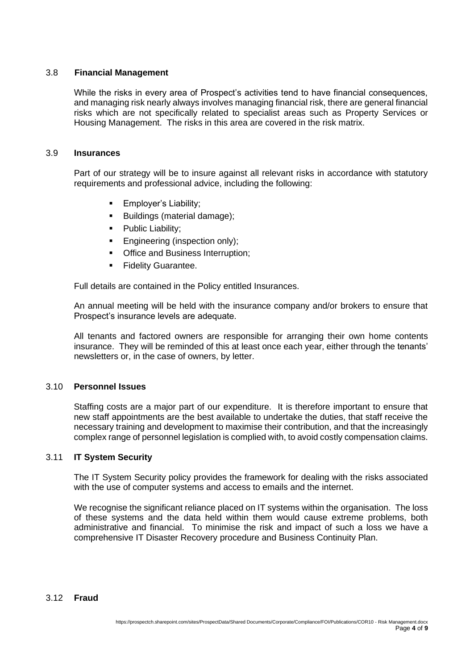# 3.8 **Financial Management**

While the risks in every area of Prospect's activities tend to have financial consequences, and managing risk nearly always involves managing financial risk, there are general financial risks which are not specifically related to specialist areas such as Property Services or Housing Management. The risks in this area are covered in the risk matrix.

#### 3.9 **Insurances**

Part of our strategy will be to insure against all relevant risks in accordance with statutory requirements and professional advice, including the following:

- **Employer's Liability;**
- Buildings (material damage);
- **•** Public Liability;
- **Engineering (inspection only);**
- Office and Business Interruption;
- **Exercity Guarantee.**

Full details are contained in the Policy entitled Insurances.

An annual meeting will be held with the insurance company and/or brokers to ensure that Prospect's insurance levels are adequate.

All tenants and factored owners are responsible for arranging their own home contents insurance. They will be reminded of this at least once each year, either through the tenants' newsletters or, in the case of owners, by letter.

# 3.10 **Personnel Issues**

Staffing costs are a major part of our expenditure. It is therefore important to ensure that new staff appointments are the best available to undertake the duties, that staff receive the necessary training and development to maximise their contribution, and that the increasingly complex range of personnel legislation is complied with, to avoid costly compensation claims.

#### 3.11 **IT System Security**

The IT System Security policy provides the framework for dealing with the risks associated with the use of computer systems and access to emails and the internet.

We recognise the significant reliance placed on IT systems within the organisation. The loss of these systems and the data held within them would cause extreme problems, both administrative and financial. To minimise the risk and impact of such a loss we have a comprehensive IT Disaster Recovery procedure and Business Continuity Plan.

#### 3.12 **Fraud**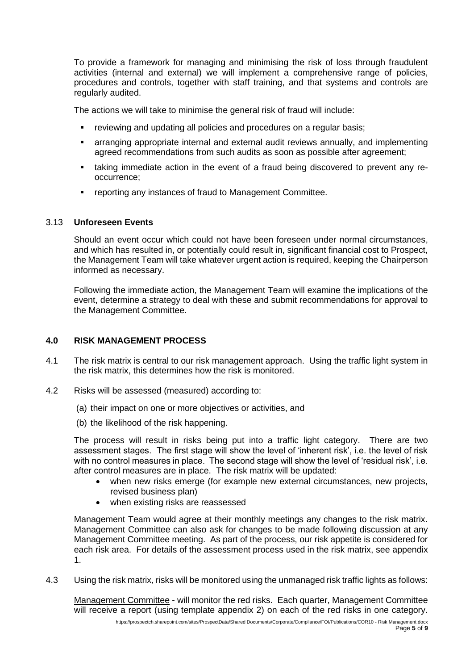To provide a framework for managing and minimising the risk of loss through fraudulent activities (internal and external) we will implement a comprehensive range of policies, procedures and controls, together with staff training, and that systems and controls are regularly audited.

The actions we will take to minimise the general risk of fraud will include:

- reviewing and updating all policies and procedures on a regular basis;
- **E** arranging appropriate internal and external audit reviews annually, and implementing agreed recommendations from such audits as soon as possible after agreement;
- taking immediate action in the event of a fraud being discovered to prevent any reoccurrence;
- reporting any instances of fraud to Management Committee.

#### 3.13 **Unforeseen Events**

Should an event occur which could not have been foreseen under normal circumstances, and which has resulted in, or potentially could result in, significant financial cost to Prospect, the Management Team will take whatever urgent action is required, keeping the Chairperson informed as necessary.

Following the immediate action, the Management Team will examine the implications of the event, determine a strategy to deal with these and submit recommendations for approval to the Management Committee.

# **4.0 RISK MANAGEMENT PROCESS**

- 4.1 The risk matrix is central to our risk management approach. Using the traffic light system in the risk matrix, this determines how the risk is monitored.
- 4.2 Risks will be assessed (measured) according to:
	- (a) their impact on one or more objectives or activities, and
	- (b) the likelihood of the risk happening.

The process will result in risks being put into a traffic light category. There are two assessment stages. The first stage will show the level of 'inherent risk', i.e. the level of risk with no control measures in place. The second stage will show the level of 'residual risk', i.e. after control measures are in place. The risk matrix will be updated:

- when new risks emerge (for example new external circumstances, new projects, revised business plan)
- when existing risks are reassessed

Management Team would agree at their monthly meetings any changes to the risk matrix. Management Committee can also ask for changes to be made following discussion at any Management Committee meeting. As part of the process, our risk appetite is considered for each risk area. For details of the assessment process used in the risk matrix, see appendix 1.

4.3 Using the risk matrix, risks will be monitored using the unmanaged risk traffic lights as follows:

Management Committee - will monitor the red risks. Each quarter, Management Committee will receive a report (using template appendix 2) on each of the red risks in one category.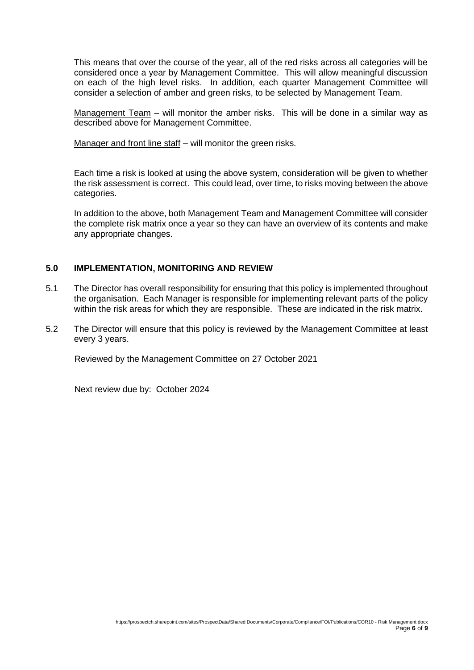This means that over the course of the year, all of the red risks across all categories will be considered once a year by Management Committee. This will allow meaningful discussion on each of the high level risks. In addition, each quarter Management Committee will consider a selection of amber and green risks, to be selected by Management Team.

Management Team – will monitor the amber risks. This will be done in a similar way as described above for Management Committee.

Manager and front line staff – will monitor the green risks.

Each time a risk is looked at using the above system, consideration will be given to whether the risk assessment is correct. This could lead, over time, to risks moving between the above categories.

In addition to the above, both Management Team and Management Committee will consider the complete risk matrix once a year so they can have an overview of its contents and make any appropriate changes.

# **5.0 IMPLEMENTATION, MONITORING AND REVIEW**

- 5.1 The Director has overall responsibility for ensuring that this policy is implemented throughout the organisation. Each Manager is responsible for implementing relevant parts of the policy within the risk areas for which they are responsible. These are indicated in the risk matrix.
- 5.2 The Director will ensure that this policy is reviewed by the Management Committee at least every 3 years.

Reviewed by the Management Committee on 27 October 2021

Next review due by: October 2024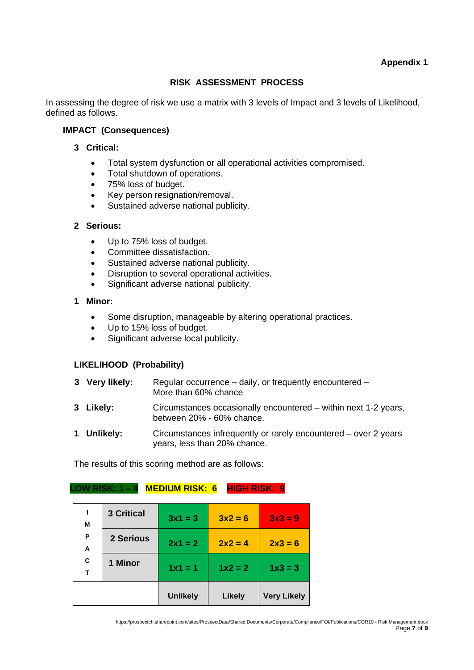# **RISK ASSESSMENT PROCESS**

In assessing the degree of risk we use a matrix with 3 levels of Impact and 3 levels of Likelihood, defined as follows.

# **IMPACT (Consequences)**

#### **3 Critical:**

- Total system dysfunction or all operational activities compromised.
- Total shutdown of operations.
- 75% loss of budget.
- Key person resignation/removal.
- Sustained adverse national publicity.

#### **2 Serious:**

- Up to 75% loss of budget.
- Committee dissatisfaction.
- Sustained adverse national publicity.
- Disruption to several operational activities.
- Significant adverse national publicity.

# **1 Minor:**

- Some disruption, manageable by altering operational practices.
- Up to 15% loss of budget.
- Significant adverse local publicity.

# **LIKELIHOOD (Probability)**

| 3 Very likely: | Regular occurrence – daily, or frequently encountered –<br>More than 60% chance                 |
|----------------|-------------------------------------------------------------------------------------------------|
| 3 Likely:      | Circumstances occasionally encountered – within next 1-2 years,<br>between 20% - 60% chance.    |
| 1 Unlikely:    | Circumstances infrequently or rarely encountered – over 2 years<br>years, less than 20% chance. |

The results of this scoring method are as follows:

#### **LOW RISK: 1 – 4 MEDIUM RISK: 6 HIGH RISK: 9**

| т      |                   | $1x1 = 1$<br><b>Unlikely</b> | $1x^2 = 2$<br><b>Likely</b> | $1x3 = 3$<br><b>Very Likely</b> |
|--------|-------------------|------------------------------|-----------------------------|---------------------------------|
| С      | 1 Minor           |                              |                             |                                 |
| Ρ<br>A | 2 Serious         | $2x1 = 2$                    | $2x2=4$                     | $2x3 = 6$                       |
| ı<br>М | <b>3 Critical</b> | $3x1 = 3$                    | $3x^2 = 6$                  | $3x3 = 9$                       |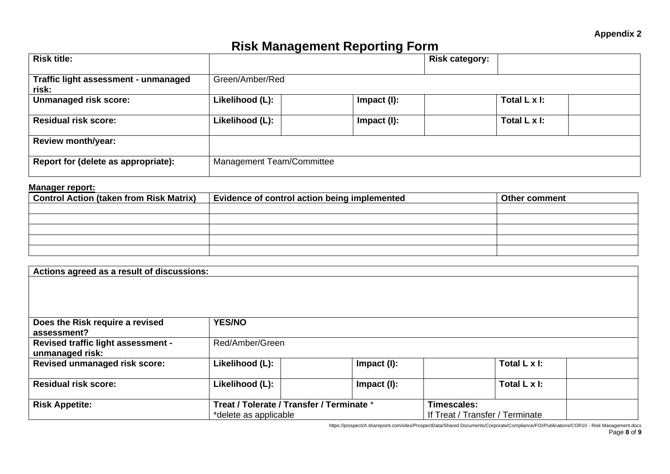# **Risk Management Reporting Form**

| <b>Risk title:</b>                            |                           |                | <b>Risk category:</b> |  |
|-----------------------------------------------|---------------------------|----------------|-----------------------|--|
| Traffic light assessment - unmanaged<br>risk: | Green/Amber/Red           |                |                       |  |
| <b>Unmanaged risk score:</b>                  | Likelihood (L):           | $Im$ pact (I): | Total L x I:          |  |
| <b>Residual risk score:</b>                   | Likelihood (L):           | Impact $(I)$ : | Total L x I:          |  |
| <b>Review month/year:</b>                     |                           |                |                       |  |
| Report for (delete as appropriate):           | Management Team/Committee |                |                       |  |

#### **Manager report:**

| <b>Control Action (taken from Risk Matrix)</b> | Evidence of control action being implemented | <b>∣Other comment</b> |
|------------------------------------------------|----------------------------------------------|-----------------------|
|                                                |                                              |                       |
|                                                |                                              |                       |
|                                                |                                              |                       |
|                                                |                                              |                       |
|                                                |                                              |                       |

| Actions agreed as a result of discussions: |                       |                                           |                                 |             |                      |  |
|--------------------------------------------|-----------------------|-------------------------------------------|---------------------------------|-------------|----------------------|--|
|                                            |                       |                                           |                                 |             |                      |  |
|                                            |                       |                                           |                                 |             |                      |  |
|                                            |                       |                                           |                                 |             |                      |  |
| Does the Risk require a revised            | <b>YES/NO</b>         |                                           |                                 |             |                      |  |
| assessment?                                |                       |                                           |                                 |             |                      |  |
| <b>Revised traffic light assessment -</b>  | Red/Amber/Green       |                                           |                                 |             |                      |  |
| unmanaged risk:                            |                       |                                           |                                 |             |                      |  |
| <b>Revised unmanaged risk score:</b>       | Likelihood (L):       |                                           | Impact $(l)$ :                  |             | Total $L \times I$ : |  |
|                                            |                       |                                           |                                 |             |                      |  |
| <b>Residual risk score:</b>                | Likelihood (L):       |                                           | Impact (I):                     |             | Total $L \times I$ : |  |
| <b>Risk Appetite:</b>                      |                       | Treat / Tolerate / Transfer / Terminate * |                                 | Timescales: |                      |  |
|                                            | *delete as applicable |                                           | If Treat / Transfer / Terminate |             |                      |  |

https://prospectch.sharepoint.com/sites/ProspectData/Shared Documents/Corporate/Compliance/FOI/Publications/COR10 - Risk Management.docx Page **8** of **9**